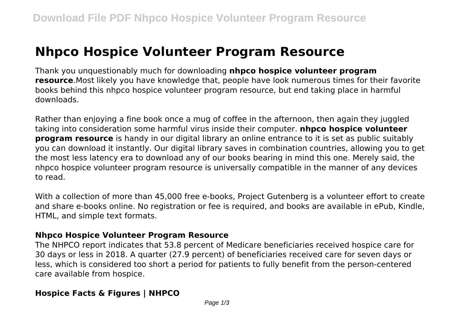# **Nhpco Hospice Volunteer Program Resource**

Thank you unquestionably much for downloading **nhpco hospice volunteer program resource**.Most likely you have knowledge that, people have look numerous times for their favorite books behind this nhpco hospice volunteer program resource, but end taking place in harmful downloads.

Rather than enjoying a fine book once a mug of coffee in the afternoon, then again they juggled taking into consideration some harmful virus inside their computer. **nhpco hospice volunteer program resource** is handy in our digital library an online entrance to it is set as public suitably you can download it instantly. Our digital library saves in combination countries, allowing you to get the most less latency era to download any of our books bearing in mind this one. Merely said, the nhpco hospice volunteer program resource is universally compatible in the manner of any devices to read.

With a collection of more than 45,000 free e-books, Project Gutenberg is a volunteer effort to create and share e-books online. No registration or fee is required, and books are available in ePub, Kindle, HTML, and simple text formats.

#### **Nhpco Hospice Volunteer Program Resource**

The NHPCO report indicates that 53.8 percent of Medicare beneficiaries received hospice care for 30 days or less in 2018. A quarter (27.9 percent) of beneficiaries received care for seven days or less, which is considered too short a period for patients to fully benefit from the person-centered care available from hospice.

## **Hospice Facts & Figures | NHPCO**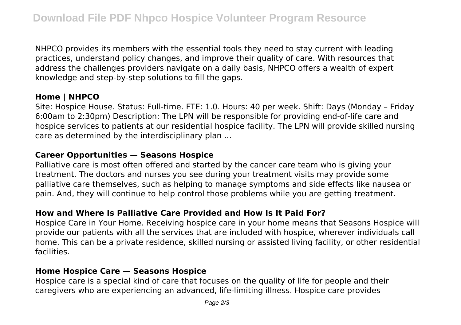NHPCO provides its members with the essential tools they need to stay current with leading practices, understand policy changes, and improve their quality of care. With resources that address the challenges providers navigate on a daily basis, NHPCO offers a wealth of expert knowledge and step-by-step solutions to fill the gaps.

## **Home | NHPCO**

Site: Hospice House. Status: Full-time. FTE: 1.0. Hours: 40 per week. Shift: Days (Monday – Friday 6:00am to 2:30pm) Description: The LPN will be responsible for providing end-of-life care and hospice services to patients at our residential hospice facility. The LPN will provide skilled nursing care as determined by the interdisciplinary plan ...

#### **Career Opportunities — Seasons Hospice**

Palliative care is most often offered and started by the cancer care team who is giving your treatment. The doctors and nurses you see during your treatment visits may provide some palliative care themselves, such as helping to manage symptoms and side effects like nausea or pain. And, they will continue to help control those problems while you are getting treatment.

## **How and Where Is Palliative Care Provided and How Is It Paid For?**

Hospice Care in Your Home. Receiving hospice care in your home means that Seasons Hospice will provide our patients with all the services that are included with hospice, wherever individuals call home. This can be a private residence, skilled nursing or assisted living facility, or other residential facilities.

#### **Home Hospice Care — Seasons Hospice**

Hospice care is a special kind of care that focuses on the quality of life for people and their caregivers who are experiencing an advanced, life-limiting illness. Hospice care provides